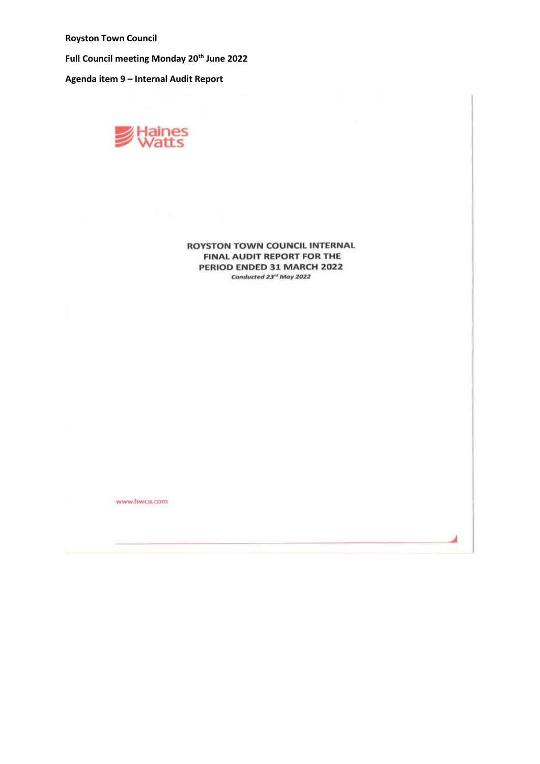**Royston Town Council**

**Full Council meeting Monday 20th June 2022**

**Agenda item 9 – Internal Audit Report**



**ROYSTON TOWN COUNCIL INTERNAL** FINAL AUDIT REPORT FOR THE PERIOD ENDED 31 MARCH 2022 Conducted 23<sup>nd</sup> May 2022

d

www.hwca.com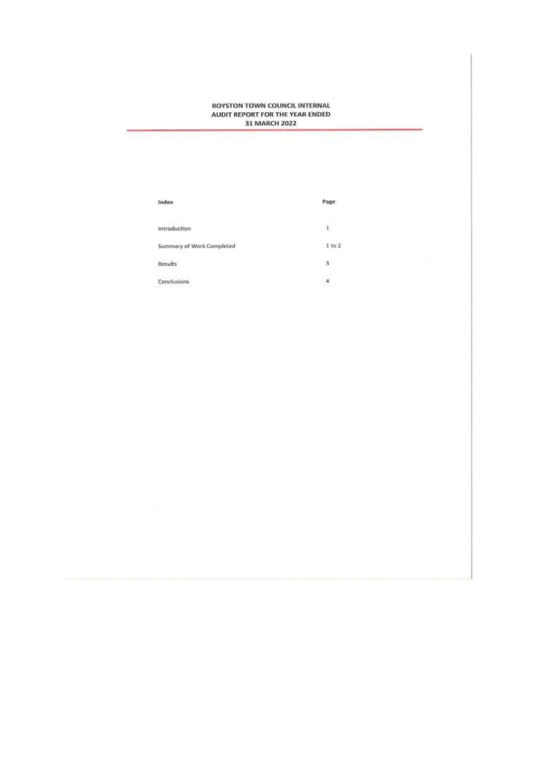| Index                     | Page         |
|---------------------------|--------------|
| Introduction              | $\mathbf{1}$ |
| Summary of Work Completed | 1 to 2       |
| Results<br>하고 한 번 보니까?    | $3^{\circ}$  |
| Canclusions               | 4            |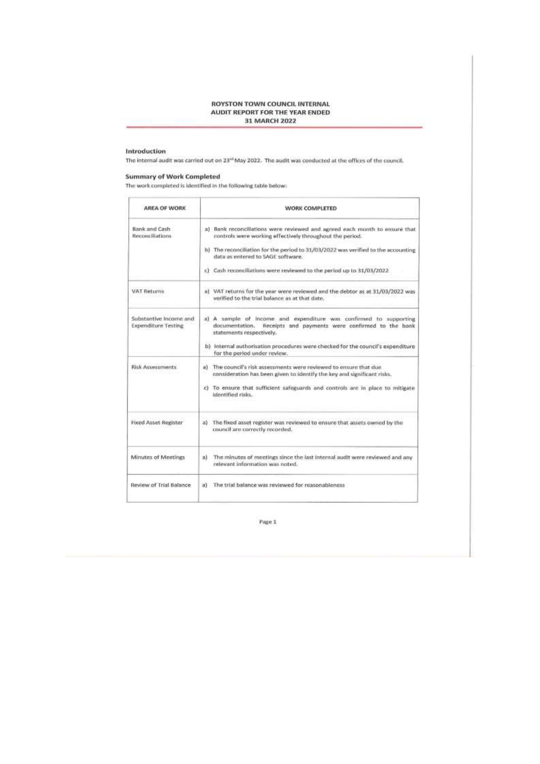# Introduction

The internal audit was carried out on 23<sup>nd</sup> May 2022. The audit was conducted at the offices of the council.

## **Summary of Work Completed**

The work completed is identified in the following table below:

| AREA OF WORK                                         | WORK COMPLETED.                                                                                                                                                                                                                                                                                                                           |
|------------------------------------------------------|-------------------------------------------------------------------------------------------------------------------------------------------------------------------------------------------------------------------------------------------------------------------------------------------------------------------------------------------|
| Bank and Cash<br>Beconciliations                     | a) Bank reconciliations were reviewed and agreed each month to ensure that<br>controls were working effectively throughout the period.<br>b) The reconciliation for the period to 31/03/2022 was verified to the accounting<br>data as entered to SAGE software.<br>c) Cash reconciliations were reviewed to the period up to 31/03/2022. |
| <b>VAT Returns</b>                                   | a) VAT returns for the year were reviewed and the debtor as at 31/03/2022 was<br>verified to the trial balance as at that date.                                                                                                                                                                                                           |
| Substantive Income and<br><b>Expenditure Testing</b> | a) A sample of income and expenditure was confirmed to supporting<br>documentation.<br>Receipts and payments were confirmed to the bank<br>statements respectively.<br>b) Internal authorisation procedures were checked for the council's expenditure<br>for the period under review.                                                    |
| <b>Risk Assessments</b>                              | a) The council's risk assessments were reviewed to ensure that due<br>consideration has been given to identify the key and significant risks.<br>c) To ensure that sufficient safeguards and controls are in place to mitigate<br>identified risks.                                                                                       |
| Fixed Asset Register                                 | a) The food asset register was reviewed to ensure that assets owned by the<br>council are correctly recorded.                                                                                                                                                                                                                             |
| Minutes of Meetings                                  | The minutes of meetings since the last internal audit were reviewed and any<br>a1<br>relevant information was noted.                                                                                                                                                                                                                      |
| Review of Trial Balance                              | a) The trial balance was reviewed for reasonableness                                                                                                                                                                                                                                                                                      |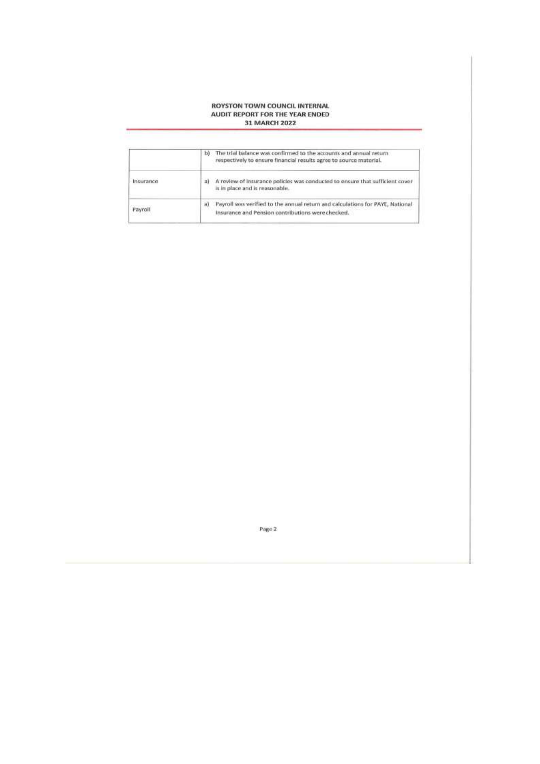|           | The trial balance was confirmed to the accounts and annual return<br>ы<br>respectively to ensure financial results agree to source material. |
|-----------|----------------------------------------------------------------------------------------------------------------------------------------------|
| Insurance | A review of Insurance policies was conducted to ensure that sufficient cover<br>a)<br>is in place and is reasonable.                         |
| Payroll   | Payroll was verified to the annual return and calculations for PAYE, National<br>343<br>Insurance and Pension contributions were checked.    |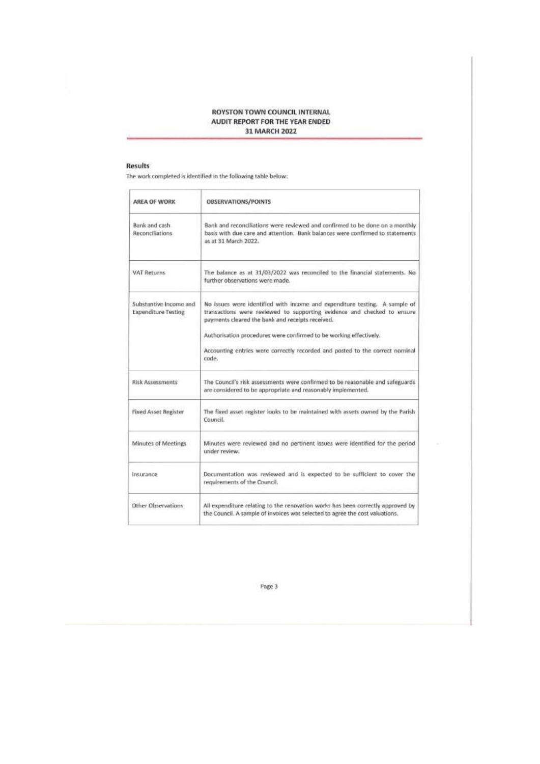## **Results**

The work completed is identified in the following table below:

| AREA OF WORK                                         | OBSERVATIONS/POINTS                                                                                                                                                                                                                                                                                                                                                      |
|------------------------------------------------------|--------------------------------------------------------------------------------------------------------------------------------------------------------------------------------------------------------------------------------------------------------------------------------------------------------------------------------------------------------------------------|
| Bank and cash<br>Reconciliations                     | Bank and reconciliations were reviewed and confirmed to be done on a monthly<br>basis with due care and attention. Bank balances were confirmed to statements<br>as at 31 March 2022.                                                                                                                                                                                    |
| VAT Returns                                          | The balance as at 31/03/2022 was reconciled to the financial statements. No<br>further observations were made.                                                                                                                                                                                                                                                           |
| Substantive Income and<br><b>Expenditure Testing</b> | No issues were identified with income and expenditure testing. A sample of<br>transactions were reviewed to supporting evidence and checked to ensure<br>payments cleared the bank and receipts received.<br>Authorisation procedures were confirmed to be working effectively.<br>Accounting entries were correctly recorded and posted to the correct nominal<br>code. |
| <b>Risk Assessments</b>                              | The Council's risk assessments were confirmed to be reasonable and safeguards<br>are considered to be appropriate and reasonably implemented.                                                                                                                                                                                                                            |
| <b>Fixed Asset Register</b>                          | The fixed asset register looks to be maintained with assets owned by the Parish<br>Council.                                                                                                                                                                                                                                                                              |
| Minutes of Meetings                                  | Minutes were reviewed and no pertinent issues were identified for the period<br>under review.                                                                                                                                                                                                                                                                            |
| Insurance                                            | Documentation was reviewed and is expected to be sufficient to cover the<br>requirements of the Council.                                                                                                                                                                                                                                                                 |
| Other Observations                                   | All expenditure relating to the renovation works has been correctly approved by<br>the Council. A sample of invoices was selected to agree the cost valuations.                                                                                                                                                                                                          |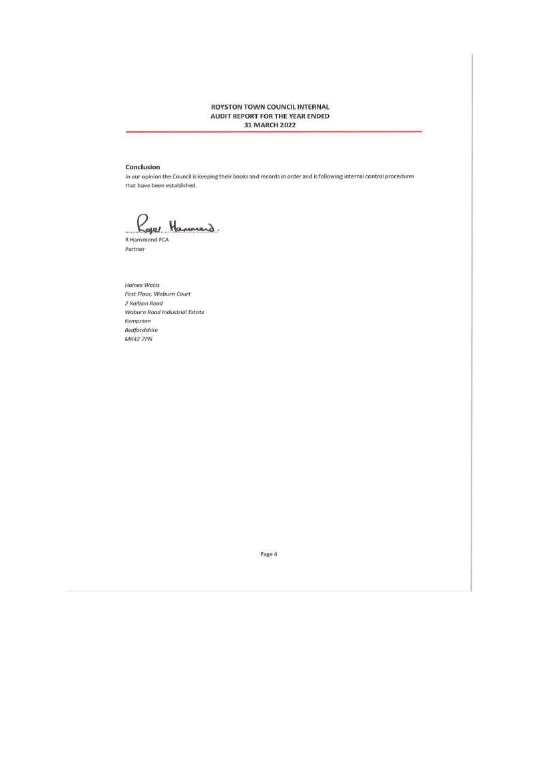### Conclusion

In our opinion the Council is keeping their books and records in order and is following internal control procedures that have been established.

Hannerd.

R Hammond FCA Partner

**Haines Watts** First Floor, Woburn Court 2 Railton Road Woburn Road Industrial Estate Kempston Bedfordshire **MK42 7PN**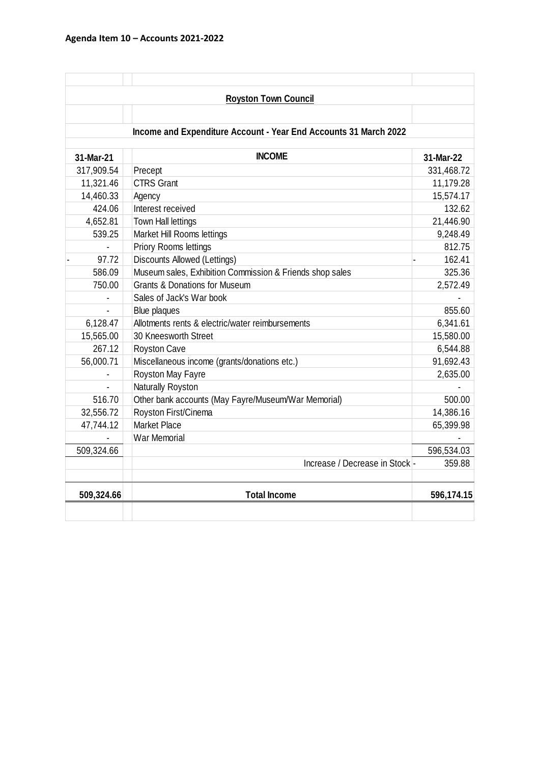|            | <b>Royston Town Council</b>                                      |            |  |  |
|------------|------------------------------------------------------------------|------------|--|--|
|            |                                                                  |            |  |  |
|            |                                                                  |            |  |  |
|            | Income and Expenditure Account - Year End Accounts 31 March 2022 |            |  |  |
| 31-Mar-21  | <b>INCOME</b>                                                    | 31-Mar-22  |  |  |
| 317,909.54 | Precept                                                          | 331,468.72 |  |  |
| 11,321.46  | <b>CTRS Grant</b>                                                | 11,179.28  |  |  |
| 14,460.33  | Agency                                                           | 15,574.17  |  |  |
| 424.06     | Interest received                                                | 132.62     |  |  |
| 4,652.81   | <b>Town Hall lettings</b>                                        | 21,446.90  |  |  |
| 539.25     | Market Hill Rooms lettings                                       | 9,248.49   |  |  |
|            | Priory Rooms lettings                                            | 812.75     |  |  |
| 97.72      | Discounts Allowed (Lettings)                                     | 162.41     |  |  |
| 586.09     | Museum sales, Exhibition Commission & Friends shop sales         | 325.36     |  |  |
| 750.00     | <b>Grants &amp; Donations for Museum</b>                         | 2,572.49   |  |  |
|            | Sales of Jack's War book                                         |            |  |  |
|            | <b>Blue plaques</b>                                              | 855.60     |  |  |
| 6,128.47   | Allotments rents & electric/water reimbursements                 | 6,341.61   |  |  |
| 15,565.00  | 30 Kneesworth Street                                             | 15,580.00  |  |  |
| 267.12     | <b>Royston Cave</b>                                              | 6,544.88   |  |  |
| 56,000.71  | Miscellaneous income (grants/donations etc.)                     | 91,692.43  |  |  |
|            | Royston May Fayre                                                | 2,635.00   |  |  |
|            | Naturally Royston                                                |            |  |  |
| 516.70     | Other bank accounts (May Fayre/Museum/War Memorial)              | 500.00     |  |  |
| 32,556.72  | Royston First/Cinema                                             | 14,386.16  |  |  |
| 47,744.12  | <b>Market Place</b>                                              | 65,399.98  |  |  |
|            | <b>War Memorial</b>                                              |            |  |  |
| 509,324.66 |                                                                  | 596,534.03 |  |  |
|            | Increase / Decrease in Stock -                                   | 359.88     |  |  |
| 509,324.66 | <b>Total Income</b>                                              | 596,174.15 |  |  |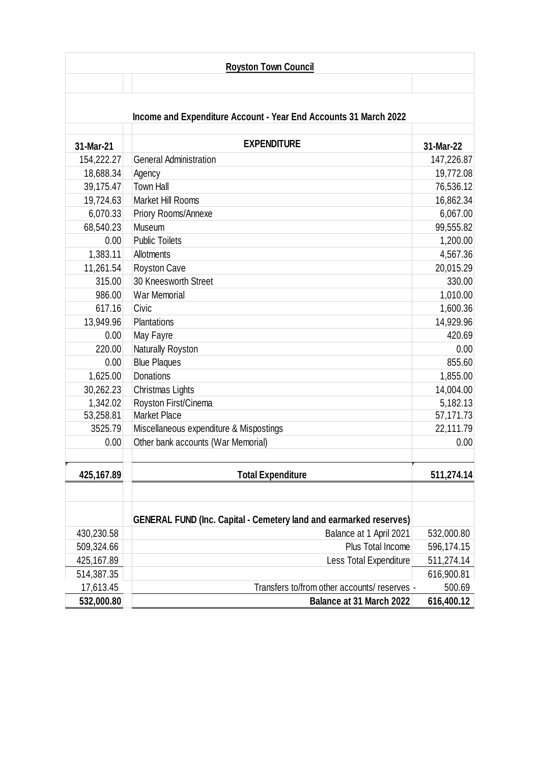| <b>Royston Town Council</b> |                                                                           |            |  |
|-----------------------------|---------------------------------------------------------------------------|------------|--|
|                             |                                                                           |            |  |
|                             | Income and Expenditure Account - Year End Accounts 31 March 2022          |            |  |
| 31-Mar-21                   | <b>EXPENDITURE</b>                                                        | 31-Mar-22  |  |
| 154,222.27                  | <b>General Administration</b>                                             | 147,226.87 |  |
| 18,688.34                   | Agency                                                                    | 19,772.08  |  |
| 39,175.47                   | <b>Town Hall</b>                                                          | 76,536.12  |  |
| 19,724.63                   | Market Hill Rooms                                                         | 16,862.34  |  |
| 6,070.33                    | Priory Rooms/Annexe                                                       | 6,067.00   |  |
| 68,540.23                   | Museum                                                                    | 99,555.82  |  |
| 0.00                        | <b>Public Toilets</b>                                                     | 1,200.00   |  |
| 1,383.11                    | Allotments                                                                | 4,567.36   |  |
| 11,261.54                   | Royston Cave                                                              | 20,015.29  |  |
| 315.00                      | 30 Kneesworth Street                                                      | 330.00     |  |
| 986.00                      | <b>War Memorial</b>                                                       | 1,010.00   |  |
| 617.16                      | Civic                                                                     | 1,600.36   |  |
| 13,949.96                   | Plantations                                                               | 14,929.96  |  |
| 0.00                        | May Fayre                                                                 | 420.69     |  |
| 220.00                      | Naturally Royston                                                         | 0.00       |  |
| 0.00                        | <b>Blue Plaques</b>                                                       | 855.60     |  |
| 1,625.00                    | Donations                                                                 | 1,855.00   |  |
| 30,262.23                   | Christmas Lights                                                          | 14,004.00  |  |
| 1,342.02                    | Royston First/Cinema                                                      | 5,182.13   |  |
| 53,258.81                   | <b>Market Place</b>                                                       | 57,171.73  |  |
| 3525.79                     | Miscellaneous expenditure & Mispostings                                   | 22,111.79  |  |
| 0.00                        | Other bank accounts (War Memorial)                                        | 0.00       |  |
| 425,167.89                  | <b>Total Expenditure</b>                                                  | 511,274.14 |  |
|                             |                                                                           |            |  |
|                             | <b>GENERAL FUND (Inc. Capital - Cemetery land and earmarked reserves)</b> |            |  |
| 430,230.58                  | Balance at 1 April 2021                                                   | 532,000.80 |  |
| 509,324.66                  | Plus Total Income                                                         | 596,174.15 |  |
| 425,167.89                  | Less Total Expenditure                                                    | 511,274.14 |  |
| 514,387.35                  |                                                                           | 616,900.81 |  |
| 17,613.45                   | Transfers to/from other accounts/ reserves -                              | 500.69     |  |
| 532,000.80                  | Balance at 31 March 2022                                                  | 616,400.12 |  |